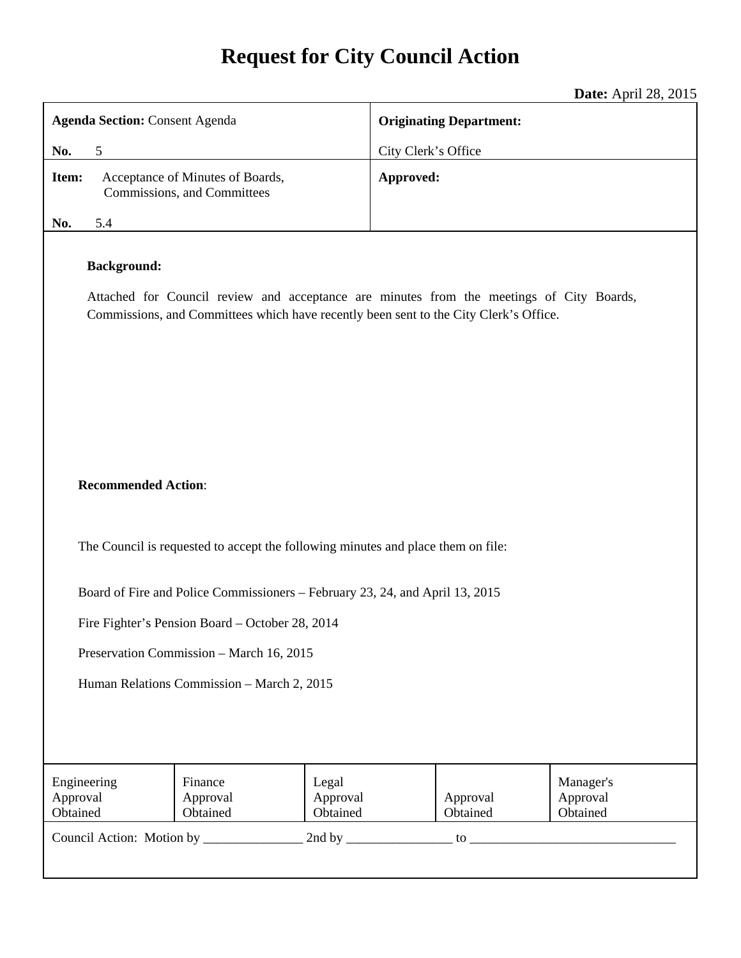# **Request for City Council Action**

**Date:** April 28, 2015

| <b>Agenda Section: Consent Agenda</b>                                                                                                                                                                                     |                                                                 |                               | <b>Originating Department:</b> |                                   |  |
|---------------------------------------------------------------------------------------------------------------------------------------------------------------------------------------------------------------------------|-----------------------------------------------------------------|-------------------------------|--------------------------------|-----------------------------------|--|
| 5<br>No.                                                                                                                                                                                                                  |                                                                 |                               | City Clerk's Office            |                                   |  |
| Item:                                                                                                                                                                                                                     | Acceptance of Minutes of Boards,<br>Commissions, and Committees |                               | Approved:                      |                                   |  |
| No.<br>5.4                                                                                                                                                                                                                |                                                                 |                               |                                |                                   |  |
| <b>Background:</b><br>Attached for Council review and acceptance are minutes from the meetings of City Boards,<br>Commissions, and Committees which have recently been sent to the City Clerk's Office.                   |                                                                 |                               |                                |                                   |  |
| <b>Recommended Action:</b><br>The Council is requested to accept the following minutes and place them on file:                                                                                                            |                                                                 |                               |                                |                                   |  |
| Board of Fire and Police Commissioners – February 23, 24, and April 13, 2015<br>Fire Fighter's Pension Board – October 28, 2014<br>Preservation Commission - March 16, 2015<br>Human Relations Commission - March 2, 2015 |                                                                 |                               |                                |                                   |  |
| Engineering<br>Approval<br>Obtained                                                                                                                                                                                       | Finance<br>Approval<br>Obtained                                 | Legal<br>Approval<br>Obtained | Approval<br>Obtained           | Manager's<br>Approval<br>Obtained |  |
|                                                                                                                                                                                                                           |                                                                 |                               |                                |                                   |  |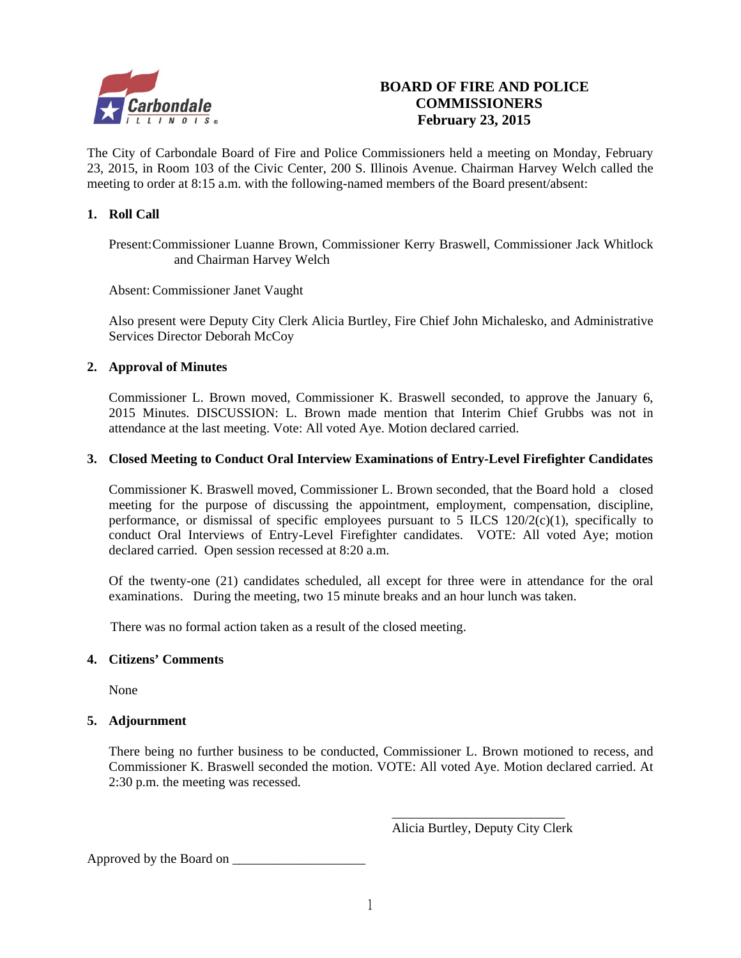

## **BOARD OF FIRE AND POLICE COMMISSIONERS February 23, 2015**

The City of Carbondale Board of Fire and Police Commissioners held a meeting on Monday, February 23, 2015, in Room 103 of the Civic Center, 200 S. Illinois Avenue. Chairman Harvey Welch called the meeting to order at 8:15 a.m. with the following-named members of the Board present/absent:

## **1. Roll Call**

Present: Commissioner Luanne Brown, Commissioner Kerry Braswell, Commissioner Jack Whitlock and Chairman Harvey Welch

Absent: Commissioner Janet Vaught

Also present were Deputy City Clerk Alicia Burtley, Fire Chief John Michalesko, and Administrative Services Director Deborah McCoy

## **2. Approval of Minutes**

Commissioner L. Brown moved, Commissioner K. Braswell seconded, to approve the January 6, 2015 Minutes. DISCUSSION: L. Brown made mention that Interim Chief Grubbs was not in attendance at the last meeting. Vote: All voted Aye. Motion declared carried.

## **3. Closed Meeting to Conduct Oral Interview Examinations of Entry-Level Firefighter Candidates**

Commissioner K. Braswell moved, Commissioner L. Brown seconded, that the Board hold a closed meeting for the purpose of discussing the appointment, employment, compensation, discipline, performance, or dismissal of specific employees pursuant to 5 ILCS  $120/2(c)(1)$ , specifically to conduct Oral Interviews of Entry-Level Firefighter candidates. VOTE: All voted Aye; motion declared carried. Open session recessed at 8:20 a.m.

Of the twenty-one (21) candidates scheduled, all except for three were in attendance for the oral examinations. During the meeting, two 15 minute breaks and an hour lunch was taken.

There was no formal action taken as a result of the closed meeting.

## **4. Citizens' Comments**

None

## **5. Adjournment**

There being no further business to be conducted, Commissioner L. Brown motioned to recess, and Commissioner K. Braswell seconded the motion. VOTE: All voted Aye. Motion declared carried. At 2:30 p.m. the meeting was recessed.

Alicia Burtley, Deputy City Clerk

Approved by the Board on \_\_\_\_\_\_\_\_\_\_\_\_\_\_\_\_\_\_\_\_

 $\overline{\phantom{a}}$  , and the contract of the contract of the contract of the contract of the contract of the contract of the contract of the contract of the contract of the contract of the contract of the contract of the contrac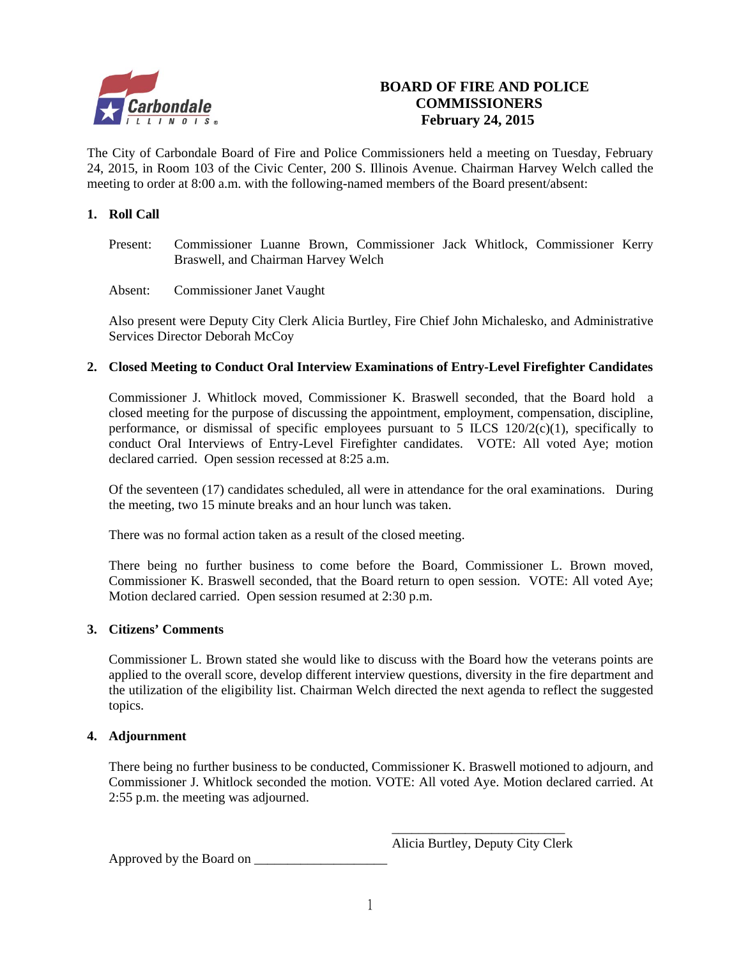

## **BOARD OF FIRE AND POLICE COMMISSIONERS February 24, 2015**

The City of Carbondale Board of Fire and Police Commissioners held a meeting on Tuesday, February 24, 2015, in Room 103 of the Civic Center, 200 S. Illinois Avenue. Chairman Harvey Welch called the meeting to order at 8:00 a.m. with the following-named members of the Board present/absent:

## **1. Roll Call**

Present: Commissioner Luanne Brown, Commissioner Jack Whitlock, Commissioner Kerry Braswell, and Chairman Harvey Welch

Absent: Commissioner Janet Vaught

Also present were Deputy City Clerk Alicia Burtley, Fire Chief John Michalesko, and Administrative Services Director Deborah McCoy

## **2. Closed Meeting to Conduct Oral Interview Examinations of Entry-Level Firefighter Candidates**

Commissioner J. Whitlock moved, Commissioner K. Braswell seconded, that the Board hold a closed meeting for the purpose of discussing the appointment, employment, compensation, discipline, performance, or dismissal of specific employees pursuant to 5 ILCS  $120/2(c)(1)$ , specifically to conduct Oral Interviews of Entry-Level Firefighter candidates. VOTE: All voted Aye; motion declared carried. Open session recessed at 8:25 a.m.

Of the seventeen (17) candidates scheduled, all were in attendance for the oral examinations. During the meeting, two 15 minute breaks and an hour lunch was taken.

There was no formal action taken as a result of the closed meeting.

There being no further business to come before the Board, Commissioner L. Brown moved, Commissioner K. Braswell seconded, that the Board return to open session. VOTE: All voted Aye; Motion declared carried. Open session resumed at 2:30 p.m.

## **3. Citizens' Comments**

Commissioner L. Brown stated she would like to discuss with the Board how the veterans points are applied to the overall score, develop different interview questions, diversity in the fire department and the utilization of the eligibility list. Chairman Welch directed the next agenda to reflect the suggested topics.

## **4. Adjournment**

There being no further business to be conducted, Commissioner K. Braswell motioned to adjourn, and Commissioner J. Whitlock seconded the motion. VOTE: All voted Aye. Motion declared carried. At 2:55 p.m. the meeting was adjourned.

Alicia Burtley, Deputy City Clerk

Approved by the Board on \_\_\_\_\_\_\_\_\_\_\_\_\_\_\_\_\_\_\_\_

 $\overline{\phantom{a}}$  , and the contract of the contract of the contract of the contract of the contract of the contract of the contract of the contract of the contract of the contract of the contract of the contract of the contrac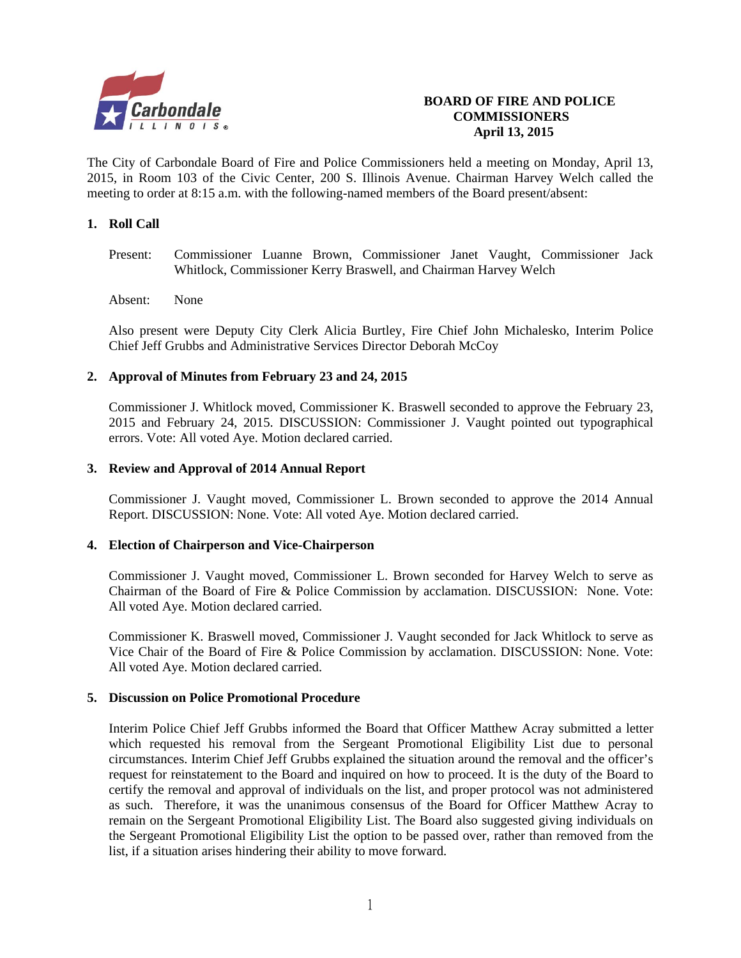

## **BOARD OF FIRE AND POLICE COMMISSIONERS April 13, 2015**

The City of Carbondale Board of Fire and Police Commissioners held a meeting on Monday, April 13, 2015, in Room 103 of the Civic Center, 200 S. Illinois Avenue. Chairman Harvey Welch called the meeting to order at 8:15 a.m. with the following-named members of the Board present/absent:

## **1. Roll Call**

- Present: Commissioner Luanne Brown, Commissioner Janet Vaught, Commissioner Jack Whitlock, Commissioner Kerry Braswell, and Chairman Harvey Welch
- Absent: None

Also present were Deputy City Clerk Alicia Burtley, Fire Chief John Michalesko, Interim Police Chief Jeff Grubbs and Administrative Services Director Deborah McCoy

#### **2. Approval of Minutes from February 23 and 24, 2015**

Commissioner J. Whitlock moved, Commissioner K. Braswell seconded to approve the February 23, 2015 and February 24, 2015. DISCUSSION: Commissioner J. Vaught pointed out typographical errors. Vote: All voted Aye. Motion declared carried.

#### **3. Review and Approval of 2014 Annual Report**

Commissioner J. Vaught moved, Commissioner L. Brown seconded to approve the 2014 Annual Report. DISCUSSION: None. Vote: All voted Aye. Motion declared carried.

#### **4. Election of Chairperson and Vice-Chairperson**

 Commissioner J. Vaught moved, Commissioner L. Brown seconded for Harvey Welch to serve as Chairman of the Board of Fire & Police Commission by acclamation. DISCUSSION: None. Vote: All voted Aye. Motion declared carried.

 Commissioner K. Braswell moved, Commissioner J. Vaught seconded for Jack Whitlock to serve as Vice Chair of the Board of Fire & Police Commission by acclamation. DISCUSSION: None. Vote: All voted Aye. Motion declared carried.

#### **5. Discussion on Police Promotional Procedure**

 Interim Police Chief Jeff Grubbs informed the Board that Officer Matthew Acray submitted a letter which requested his removal from the Sergeant Promotional Eligibility List due to personal circumstances. Interim Chief Jeff Grubbs explained the situation around the removal and the officer's request for reinstatement to the Board and inquired on how to proceed. It is the duty of the Board to certify the removal and approval of individuals on the list, and proper protocol was not administered as such. Therefore, it was the unanimous consensus of the Board for Officer Matthew Acray to remain on the Sergeant Promotional Eligibility List. The Board also suggested giving individuals on the Sergeant Promotional Eligibility List the option to be passed over, rather than removed from the list, if a situation arises hindering their ability to move forward.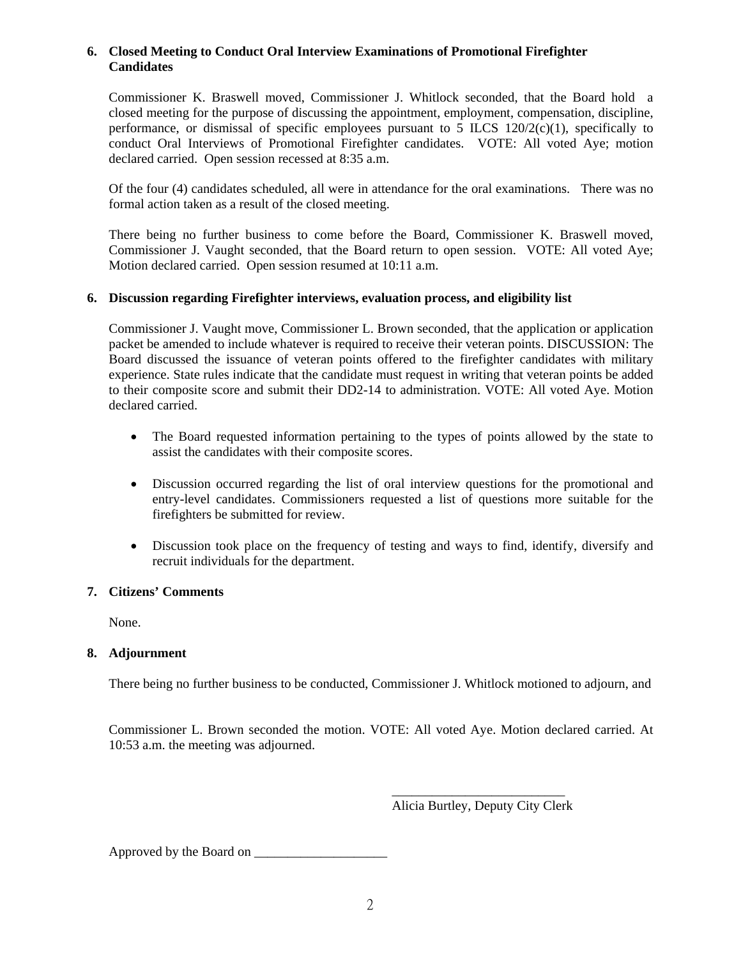#### **6. Closed Meeting to Conduct Oral Interview Examinations of Promotional Firefighter Candidates**

Commissioner K. Braswell moved, Commissioner J. Whitlock seconded, that the Board hold a closed meeting for the purpose of discussing the appointment, employment, compensation, discipline, performance, or dismissal of specific employees pursuant to  $\overline{5}$  ILCS 120/2(c)(1), specifically to conduct Oral Interviews of Promotional Firefighter candidates. VOTE: All voted Aye; motion declared carried. Open session recessed at 8:35 a.m.

Of the four (4) candidates scheduled, all were in attendance for the oral examinations. There was no formal action taken as a result of the closed meeting.

There being no further business to come before the Board, Commissioner K. Braswell moved, Commissioner J. Vaught seconded, that the Board return to open session. VOTE: All voted Aye; Motion declared carried. Open session resumed at 10:11 a.m.

## **6. Discussion regarding Firefighter interviews, evaluation process, and eligibility list**

Commissioner J. Vaught move, Commissioner L. Brown seconded, that the application or application packet be amended to include whatever is required to receive their veteran points. DISCUSSION: The Board discussed the issuance of veteran points offered to the firefighter candidates with military experience. State rules indicate that the candidate must request in writing that veteran points be added to their composite score and submit their DD2-14 to administration. VOTE: All voted Aye. Motion declared carried.

- The Board requested information pertaining to the types of points allowed by the state to assist the candidates with their composite scores.
- Discussion occurred regarding the list of oral interview questions for the promotional and entry-level candidates. Commissioners requested a list of questions more suitable for the firefighters be submitted for review.
- Discussion took place on the frequency of testing and ways to find, identify, diversify and recruit individuals for the department.

## **7. Citizens' Comments**

None.

## **8. Adjournment**

There being no further business to be conducted, Commissioner J. Whitlock motioned to adjourn, and

Commissioner L. Brown seconded the motion. VOTE: All voted Aye. Motion declared carried. At 10:53 a.m. the meeting was adjourned.

 $\overline{\phantom{a}}$  , and the contract of the contract of the contract of the contract of the contract of the contract of the contract of the contract of the contract of the contract of the contract of the contract of the contrac Alicia Burtley, Deputy City Clerk

Approved by the Board on \_\_\_\_\_\_\_\_\_\_\_\_\_\_\_\_\_\_\_\_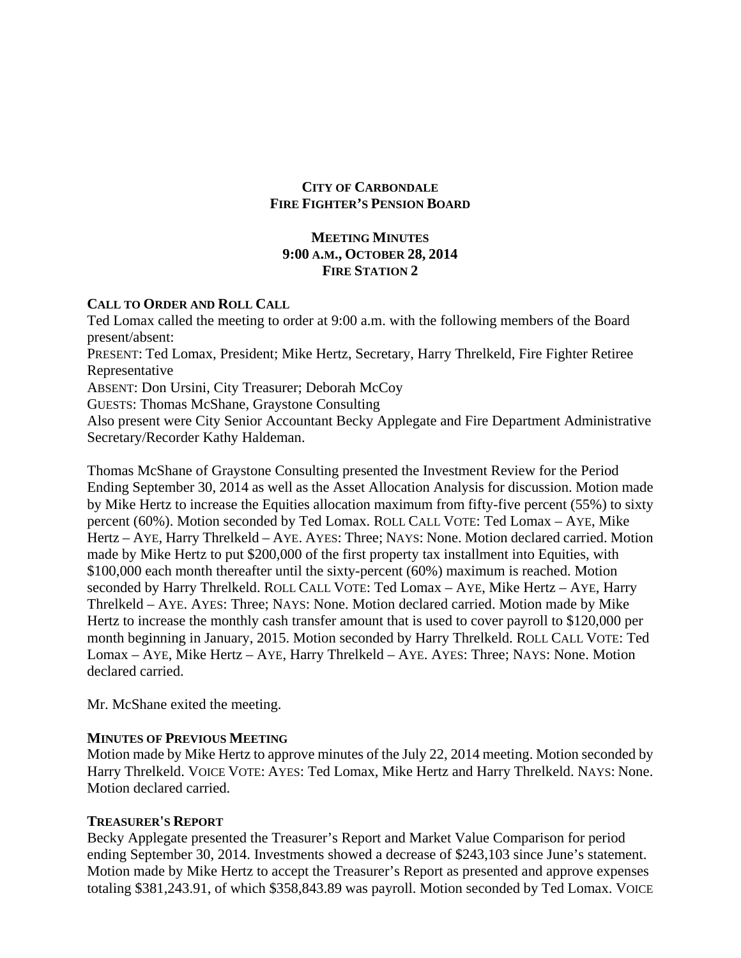## **CITY OF CARBONDALE FIRE FIGHTER'S PENSION BOARD**

## **MEETING MINUTES 9:00 A.M., OCTOBER 28, 2014 FIRE STATION 2**

## **CALL TO ORDER AND ROLL CALL**

Ted Lomax called the meeting to order at 9:00 a.m. with the following members of the Board present/absent: PRESENT: Ted Lomax, President; Mike Hertz, Secretary, Harry Threlkeld, Fire Fighter Retiree Representative ABSENT: Don Ursini, City Treasurer; Deborah McCoy GUESTS: Thomas McShane, Graystone Consulting Also present were City Senior Accountant Becky Applegate and Fire Department Administrative Secretary/Recorder Kathy Haldeman.

Thomas McShane of Graystone Consulting presented the Investment Review for the Period Ending September 30, 2014 as well as the Asset Allocation Analysis for discussion. Motion made by Mike Hertz to increase the Equities allocation maximum from fifty-five percent (55%) to sixty percent (60%). Motion seconded by Ted Lomax. ROLL CALL VOTE: Ted Lomax – AYE, Mike Hertz – AYE, Harry Threlkeld – AYE. AYES: Three; NAYS: None. Motion declared carried. Motion made by Mike Hertz to put \$200,000 of the first property tax installment into Equities, with \$100,000 each month thereafter until the sixty-percent (60%) maximum is reached. Motion seconded by Harry Threlkeld. ROLL CALL VOTE: Ted Lomax – AYE, Mike Hertz – AYE, Harry Threlkeld – AYE. AYES: Three; NAYS: None. Motion declared carried. Motion made by Mike Hertz to increase the monthly cash transfer amount that is used to cover payroll to \$120,000 per month beginning in January, 2015. Motion seconded by Harry Threlkeld. ROLL CALL VOTE: Ted Lomax – AYE, Mike Hertz – AYE, Harry Threlkeld – AYE. AYES: Three; NAYS: None. Motion declared carried.

Mr. McShane exited the meeting.

## **MINUTES OF PREVIOUS MEETING**

Motion made by Mike Hertz to approve minutes of the July 22, 2014 meeting. Motion seconded by Harry Threlkeld. VOICE VOTE: AYES: Ted Lomax, Mike Hertz and Harry Threlkeld. NAYS: None. Motion declared carried.

## **TREASURER'S REPORT**

Becky Applegate presented the Treasurer's Report and Market Value Comparison for period ending September 30, 2014. Investments showed a decrease of \$243,103 since June's statement. Motion made by Mike Hertz to accept the Treasurer's Report as presented and approve expenses totaling \$381,243.91, of which \$358,843.89 was payroll. Motion seconded by Ted Lomax. VOICE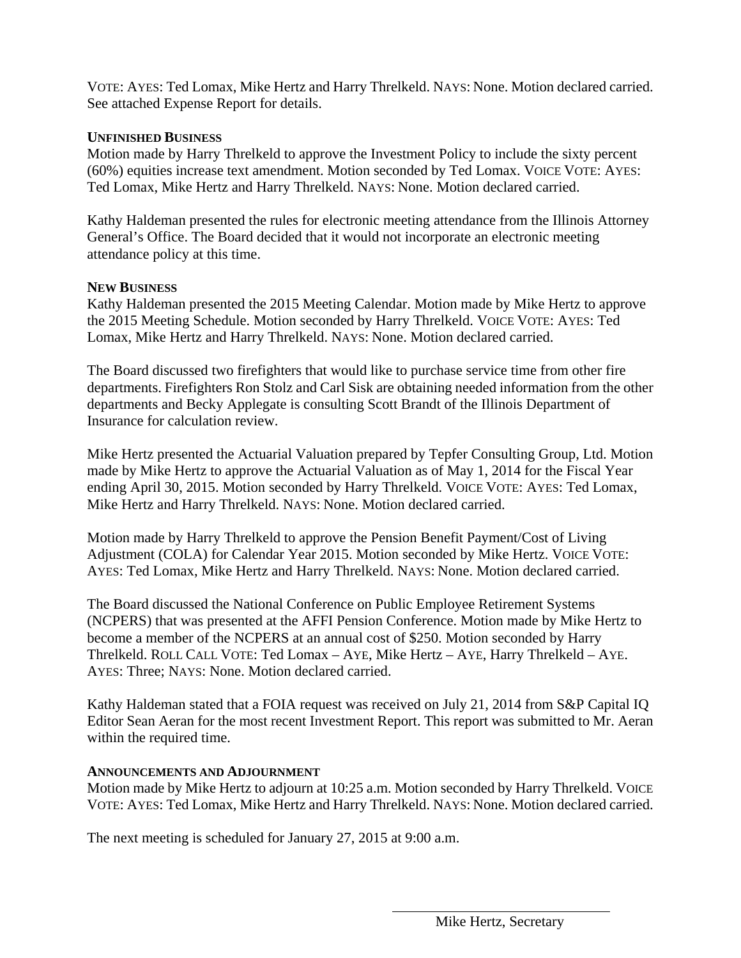VOTE: AYES: Ted Lomax, Mike Hertz and Harry Threlkeld. NAYS: None. Motion declared carried. See attached Expense Report for details.

## **UNFINISHED BUSINESS**

Motion made by Harry Threlkeld to approve the Investment Policy to include the sixty percent (60%) equities increase text amendment. Motion seconded by Ted Lomax. VOICE VOTE: AYES: Ted Lomax, Mike Hertz and Harry Threlkeld. NAYS: None. Motion declared carried.

Kathy Haldeman presented the rules for electronic meeting attendance from the Illinois Attorney General's Office. The Board decided that it would not incorporate an electronic meeting attendance policy at this time.

## **NEW BUSINESS**

Kathy Haldeman presented the 2015 Meeting Calendar. Motion made by Mike Hertz to approve the 2015 Meeting Schedule. Motion seconded by Harry Threlkeld. VOICE VOTE: AYES: Ted Lomax, Mike Hertz and Harry Threlkeld. NAYS: None. Motion declared carried.

The Board discussed two firefighters that would like to purchase service time from other fire departments. Firefighters Ron Stolz and Carl Sisk are obtaining needed information from the other departments and Becky Applegate is consulting Scott Brandt of the Illinois Department of Insurance for calculation review.

Mike Hertz presented the Actuarial Valuation prepared by Tepfer Consulting Group, Ltd. Motion made by Mike Hertz to approve the Actuarial Valuation as of May 1, 2014 for the Fiscal Year ending April 30, 2015. Motion seconded by Harry Threlkeld. VOICE VOTE: AYES: Ted Lomax, Mike Hertz and Harry Threlkeld. NAYS: None. Motion declared carried.

Motion made by Harry Threlkeld to approve the Pension Benefit Payment/Cost of Living Adjustment (COLA) for Calendar Year 2015. Motion seconded by Mike Hertz. VOICE VOTE: AYES: Ted Lomax, Mike Hertz and Harry Threlkeld. NAYS: None. Motion declared carried.

The Board discussed the National Conference on Public Employee Retirement Systems (NCPERS) that was presented at the AFFI Pension Conference. Motion made by Mike Hertz to become a member of the NCPERS at an annual cost of \$250. Motion seconded by Harry Threlkeld. ROLL CALL VOTE: Ted Lomax – AYE, Mike Hertz – AYE, Harry Threlkeld – AYE. AYES: Three; NAYS: None. Motion declared carried.

Kathy Haldeman stated that a FOIA request was received on July 21, 2014 from S&P Capital IQ Editor Sean Aeran for the most recent Investment Report. This report was submitted to Mr. Aeran within the required time.

## **ANNOUNCEMENTS AND ADJOURNMENT**

Motion made by Mike Hertz to adjourn at 10:25 a.m. Motion seconded by Harry Threlkeld. VOICE VOTE: AYES: Ted Lomax, Mike Hertz and Harry Threlkeld. NAYS: None. Motion declared carried.

The next meeting is scheduled for January 27, 2015 at 9:00 a.m.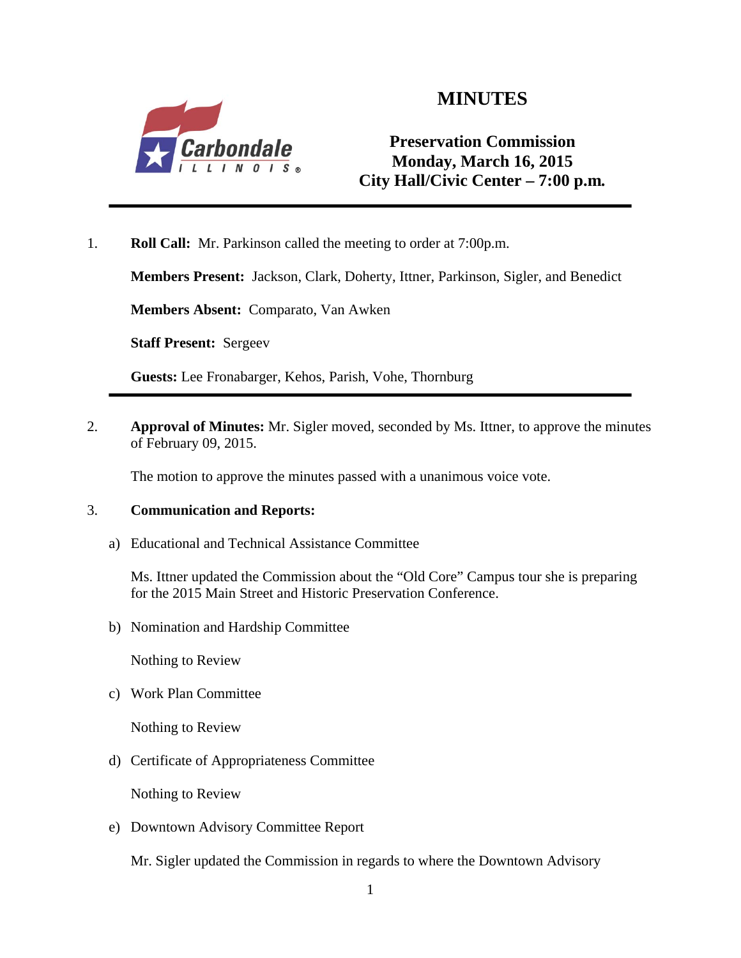

# **MINUTES**

**Preservation Commission Monday, March 16, 2015 City Hall/Civic Center – 7:00 p.m***.*

1. **Roll Call:** Mr. Parkinson called the meeting to order at 7:00p.m.

**Members Present:** Jackson, Clark, Doherty, Ittner, Parkinson, Sigler, and Benedict

**Members Absent:** Comparato, Van Awken

**Staff Present:** Sergeev

**Guests:** Lee Fronabarger, Kehos, Parish, Vohe, Thornburg

2. **Approval of Minutes:** Mr. Sigler moved, seconded by Ms. Ittner, to approve the minutes of February 09, 2015.

The motion to approve the minutes passed with a unanimous voice vote.

## 3. **Communication and Reports:**

a) Educational and Technical Assistance Committee

Ms. Ittner updated the Commission about the "Old Core" Campus tour she is preparing for the 2015 Main Street and Historic Preservation Conference.

b) Nomination and Hardship Committee

Nothing to Review

c) Work Plan Committee

Nothing to Review

d) Certificate of Appropriateness Committee

Nothing to Review

e) Downtown Advisory Committee Report

Mr. Sigler updated the Commission in regards to where the Downtown Advisory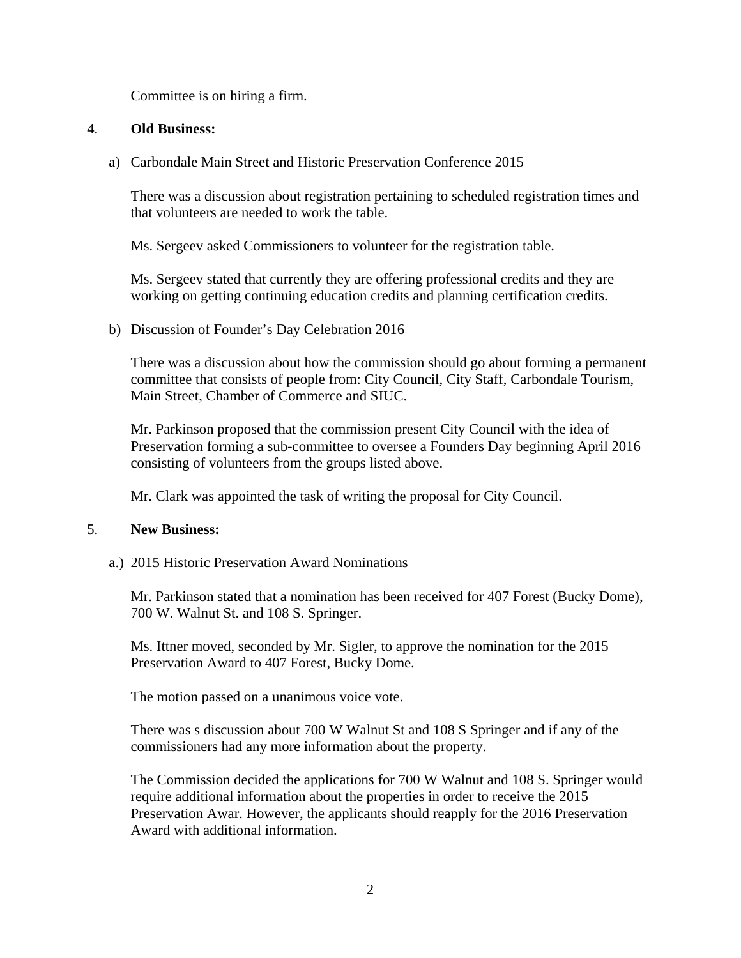Committee is on hiring a firm.

## 4. **Old Business:**

a) Carbondale Main Street and Historic Preservation Conference 2015

There was a discussion about registration pertaining to scheduled registration times and that volunteers are needed to work the table.

Ms. Sergeev asked Commissioners to volunteer for the registration table.

Ms. Sergeev stated that currently they are offering professional credits and they are working on getting continuing education credits and planning certification credits.

b) Discussion of Founder's Day Celebration 2016

There was a discussion about how the commission should go about forming a permanent committee that consists of people from: City Council, City Staff, Carbondale Tourism, Main Street, Chamber of Commerce and SIUC.

Mr. Parkinson proposed that the commission present City Council with the idea of Preservation forming a sub-committee to oversee a Founders Day beginning April 2016 consisting of volunteers from the groups listed above.

Mr. Clark was appointed the task of writing the proposal for City Council.

## 5. **New Business:**

a.) 2015 Historic Preservation Award Nominations

Mr. Parkinson stated that a nomination has been received for 407 Forest (Bucky Dome), 700 W. Walnut St. and 108 S. Springer.

Ms. Ittner moved, seconded by Mr. Sigler, to approve the nomination for the 2015 Preservation Award to 407 Forest, Bucky Dome.

The motion passed on a unanimous voice vote.

There was s discussion about 700 W Walnut St and 108 S Springer and if any of the commissioners had any more information about the property.

The Commission decided the applications for 700 W Walnut and 108 S. Springer would require additional information about the properties in order to receive the 2015 Preservation Awar. However, the applicants should reapply for the 2016 Preservation Award with additional information.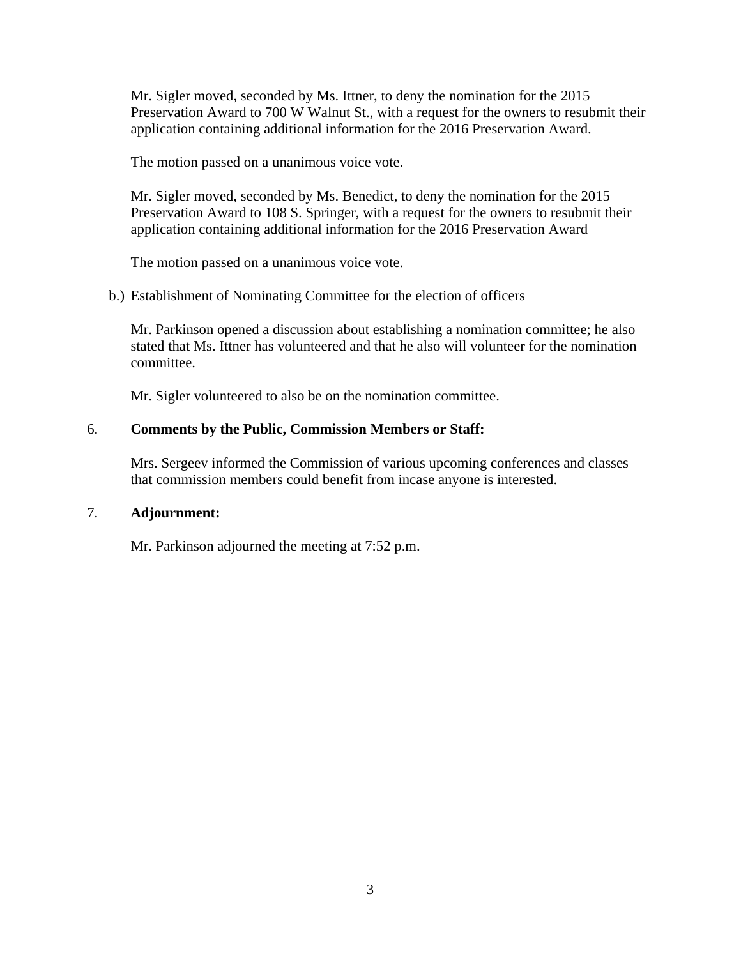Mr. Sigler moved, seconded by Ms. Ittner, to deny the nomination for the 2015 Preservation Award to 700 W Walnut St., with a request for the owners to resubmit their application containing additional information for the 2016 Preservation Award.

The motion passed on a unanimous voice vote.

Mr. Sigler moved, seconded by Ms. Benedict, to deny the nomination for the 2015 Preservation Award to 108 S. Springer, with a request for the owners to resubmit their application containing additional information for the 2016 Preservation Award

The motion passed on a unanimous voice vote.

b.) Establishment of Nominating Committee for the election of officers

Mr. Parkinson opened a discussion about establishing a nomination committee; he also stated that Ms. Ittner has volunteered and that he also will volunteer for the nomination committee.

Mr. Sigler volunteered to also be on the nomination committee.

## 6. **Comments by the Public, Commission Members or Staff:**

Mrs. Sergeev informed the Commission of various upcoming conferences and classes that commission members could benefit from incase anyone is interested.

## 7. **Adjournment:**

Mr. Parkinson adjourned the meeting at 7:52 p.m.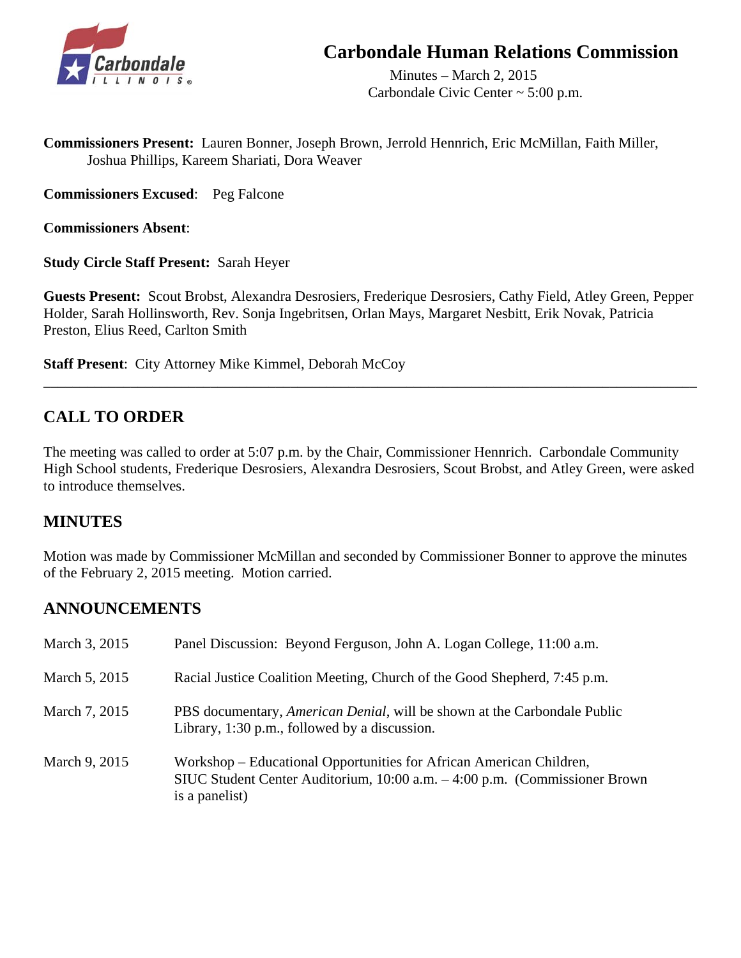

# **Carbondale Human Relations Commission**

 Minutes – March 2, 2015 Carbondale Civic Center ~ 5:00 p.m.

**Commissioners Present:** Lauren Bonner, Joseph Brown, Jerrold Hennrich, Eric McMillan, Faith Miller, Joshua Phillips, Kareem Shariati, Dora Weaver

**Commissioners Excused**: Peg Falcone

**Commissioners Absent**:

**Study Circle Staff Present:** Sarah Heyer

**Guests Present:** Scout Brobst, Alexandra Desrosiers, Frederique Desrosiers, Cathy Field, Atley Green, Pepper Holder, Sarah Hollinsworth, Rev. Sonja Ingebritsen, Orlan Mays, Margaret Nesbitt, Erik Novak, Patricia Preston, Elius Reed, Carlton Smith

\_\_\_\_\_\_\_\_\_\_\_\_\_\_\_\_\_\_\_\_\_\_\_\_\_\_\_\_\_\_\_\_\_\_\_\_\_\_\_\_\_\_\_\_\_\_\_\_\_\_\_\_\_\_\_\_\_\_\_\_\_\_\_\_\_\_\_\_\_\_\_\_\_\_\_\_\_\_\_\_\_\_\_\_\_\_\_\_\_\_

**Staff Present**: City Attorney Mike Kimmel, Deborah McCoy

# **CALL TO ORDER**

The meeting was called to order at 5:07 p.m. by the Chair, Commissioner Hennrich. Carbondale Community High School students, Frederique Desrosiers, Alexandra Desrosiers, Scout Brobst, and Atley Green, were asked to introduce themselves.

# **MINUTES**

Motion was made by Commissioner McMillan and seconded by Commissioner Bonner to approve the minutes of the February 2, 2015 meeting. Motion carried.

# **ANNOUNCEMENTS**

| March 3, 2015 | Panel Discussion: Beyond Ferguson, John A. Logan College, 11:00 a.m.                                                                                                 |
|---------------|----------------------------------------------------------------------------------------------------------------------------------------------------------------------|
| March 5, 2015 | Racial Justice Coalition Meeting, Church of the Good Shepherd, 7:45 p.m.                                                                                             |
| March 7, 2015 | PBS documentary, <i>American Denial</i> , will be shown at the Carbondale Public<br>Library, 1:30 p.m., followed by a discussion.                                    |
| March 9, 2015 | Workshop – Educational Opportunities for African American Children,<br>SIUC Student Center Auditorium, 10:00 a.m. – 4:00 p.m. (Commissioner Brown)<br>is a panelist) |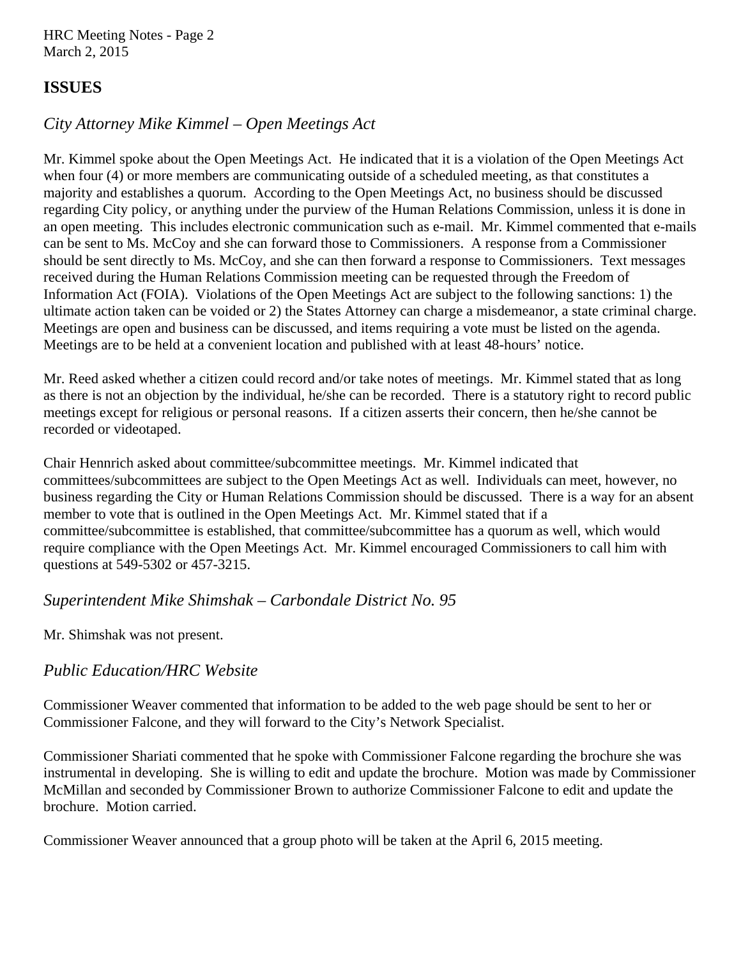HRC Meeting Notes - Page 2 March 2, 2015

# **ISSUES**

# *City Attorney Mike Kimmel – Open Meetings Act*

Mr. Kimmel spoke about the Open Meetings Act. He indicated that it is a violation of the Open Meetings Act when four (4) or more members are communicating outside of a scheduled meeting, as that constitutes a majority and establishes a quorum. According to the Open Meetings Act, no business should be discussed regarding City policy, or anything under the purview of the Human Relations Commission, unless it is done in an open meeting. This includes electronic communication such as e-mail. Mr. Kimmel commented that e-mails can be sent to Ms. McCoy and she can forward those to Commissioners. A response from a Commissioner should be sent directly to Ms. McCoy, and she can then forward a response to Commissioners. Text messages received during the Human Relations Commission meeting can be requested through the Freedom of Information Act (FOIA). Violations of the Open Meetings Act are subject to the following sanctions: 1) the ultimate action taken can be voided or 2) the States Attorney can charge a misdemeanor, a state criminal charge. Meetings are open and business can be discussed, and items requiring a vote must be listed on the agenda. Meetings are to be held at a convenient location and published with at least 48-hours' notice.

Mr. Reed asked whether a citizen could record and/or take notes of meetings. Mr. Kimmel stated that as long as there is not an objection by the individual, he/she can be recorded. There is a statutory right to record public meetings except for religious or personal reasons. If a citizen asserts their concern, then he/she cannot be recorded or videotaped.

Chair Hennrich asked about committee/subcommittee meetings. Mr. Kimmel indicated that committees/subcommittees are subject to the Open Meetings Act as well. Individuals can meet, however, no business regarding the City or Human Relations Commission should be discussed. There is a way for an absent member to vote that is outlined in the Open Meetings Act. Mr. Kimmel stated that if a committee/subcommittee is established, that committee/subcommittee has a quorum as well, which would require compliance with the Open Meetings Act. Mr. Kimmel encouraged Commissioners to call him with questions at 549-5302 or 457-3215.

# *Superintendent Mike Shimshak – Carbondale District No. 95*

Mr. Shimshak was not present.

# *Public Education/HRC Website*

Commissioner Weaver commented that information to be added to the web page should be sent to her or Commissioner Falcone, and they will forward to the City's Network Specialist.

Commissioner Shariati commented that he spoke with Commissioner Falcone regarding the brochure she was instrumental in developing. She is willing to edit and update the brochure. Motion was made by Commissioner McMillan and seconded by Commissioner Brown to authorize Commissioner Falcone to edit and update the brochure. Motion carried.

Commissioner Weaver announced that a group photo will be taken at the April 6, 2015 meeting.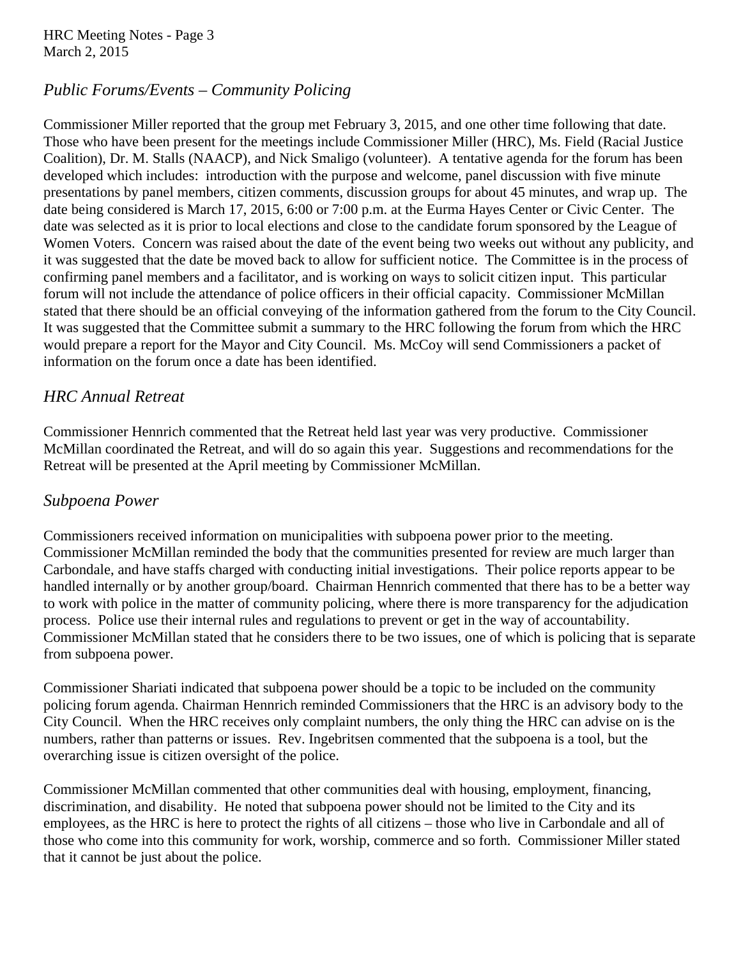HRC Meeting Notes - Page 3 March 2, 2015

# *Public Forums/Events – Community Policing*

Commissioner Miller reported that the group met February 3, 2015, and one other time following that date. Those who have been present for the meetings include Commissioner Miller (HRC), Ms. Field (Racial Justice Coalition), Dr. M. Stalls (NAACP), and Nick Smaligo (volunteer). A tentative agenda for the forum has been developed which includes: introduction with the purpose and welcome, panel discussion with five minute presentations by panel members, citizen comments, discussion groups for about 45 minutes, and wrap up. The date being considered is March 17, 2015, 6:00 or 7:00 p.m. at the Eurma Hayes Center or Civic Center. The date was selected as it is prior to local elections and close to the candidate forum sponsored by the League of Women Voters. Concern was raised about the date of the event being two weeks out without any publicity, and it was suggested that the date be moved back to allow for sufficient notice. The Committee is in the process of confirming panel members and a facilitator, and is working on ways to solicit citizen input. This particular forum will not include the attendance of police officers in their official capacity. Commissioner McMillan stated that there should be an official conveying of the information gathered from the forum to the City Council. It was suggested that the Committee submit a summary to the HRC following the forum from which the HRC would prepare a report for the Mayor and City Council. Ms. McCoy will send Commissioners a packet of information on the forum once a date has been identified.

# *HRC Annual Retreat*

Commissioner Hennrich commented that the Retreat held last year was very productive. Commissioner McMillan coordinated the Retreat, and will do so again this year. Suggestions and recommendations for the Retreat will be presented at the April meeting by Commissioner McMillan.

# *Subpoena Power*

Commissioners received information on municipalities with subpoena power prior to the meeting. Commissioner McMillan reminded the body that the communities presented for review are much larger than Carbondale, and have staffs charged with conducting initial investigations. Their police reports appear to be handled internally or by another group/board. Chairman Hennrich commented that there has to be a better way to work with police in the matter of community policing, where there is more transparency for the adjudication process. Police use their internal rules and regulations to prevent or get in the way of accountability. Commissioner McMillan stated that he considers there to be two issues, one of which is policing that is separate from subpoena power.

Commissioner Shariati indicated that subpoena power should be a topic to be included on the community policing forum agenda. Chairman Hennrich reminded Commissioners that the HRC is an advisory body to the City Council. When the HRC receives only complaint numbers, the only thing the HRC can advise on is the numbers, rather than patterns or issues. Rev. Ingebritsen commented that the subpoena is a tool, but the overarching issue is citizen oversight of the police.

Commissioner McMillan commented that other communities deal with housing, employment, financing, discrimination, and disability. He noted that subpoena power should not be limited to the City and its employees, as the HRC is here to protect the rights of all citizens – those who live in Carbondale and all of those who come into this community for work, worship, commerce and so forth. Commissioner Miller stated that it cannot be just about the police.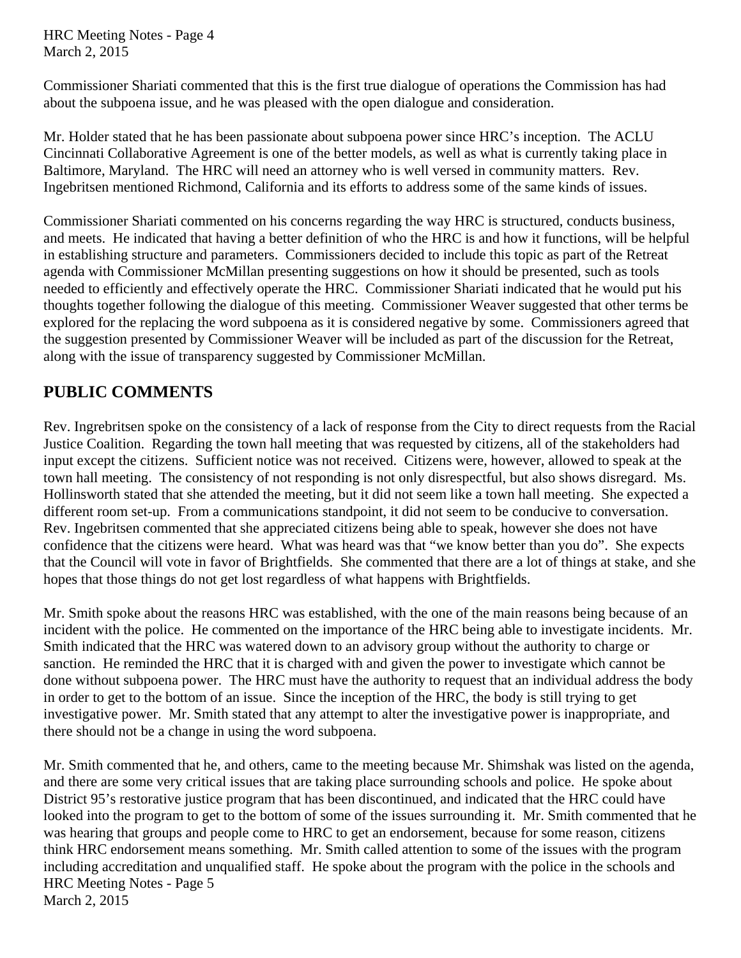HRC Meeting Notes - Page 4 March 2, 2015

Commissioner Shariati commented that this is the first true dialogue of operations the Commission has had about the subpoena issue, and he was pleased with the open dialogue and consideration.

Mr. Holder stated that he has been passionate about subpoena power since HRC's inception. The ACLU Cincinnati Collaborative Agreement is one of the better models, as well as what is currently taking place in Baltimore, Maryland. The HRC will need an attorney who is well versed in community matters. Rev. Ingebritsen mentioned Richmond, California and its efforts to address some of the same kinds of issues.

Commissioner Shariati commented on his concerns regarding the way HRC is structured, conducts business, and meets. He indicated that having a better definition of who the HRC is and how it functions, will be helpful in establishing structure and parameters. Commissioners decided to include this topic as part of the Retreat agenda with Commissioner McMillan presenting suggestions on how it should be presented, such as tools needed to efficiently and effectively operate the HRC. Commissioner Shariati indicated that he would put his thoughts together following the dialogue of this meeting. Commissioner Weaver suggested that other terms be explored for the replacing the word subpoena as it is considered negative by some. Commissioners agreed that the suggestion presented by Commissioner Weaver will be included as part of the discussion for the Retreat, along with the issue of transparency suggested by Commissioner McMillan.

# **PUBLIC COMMENTS**

Rev. Ingrebritsen spoke on the consistency of a lack of response from the City to direct requests from the Racial Justice Coalition. Regarding the town hall meeting that was requested by citizens, all of the stakeholders had input except the citizens. Sufficient notice was not received. Citizens were, however, allowed to speak at the town hall meeting. The consistency of not responding is not only disrespectful, but also shows disregard. Ms. Hollinsworth stated that she attended the meeting, but it did not seem like a town hall meeting. She expected a different room set-up. From a communications standpoint, it did not seem to be conducive to conversation. Rev. Ingebritsen commented that she appreciated citizens being able to speak, however she does not have confidence that the citizens were heard. What was heard was that "we know better than you do". She expects that the Council will vote in favor of Brightfields. She commented that there are a lot of things at stake, and she hopes that those things do not get lost regardless of what happens with Brightfields.

Mr. Smith spoke about the reasons HRC was established, with the one of the main reasons being because of an incident with the police. He commented on the importance of the HRC being able to investigate incidents. Mr. Smith indicated that the HRC was watered down to an advisory group without the authority to charge or sanction. He reminded the HRC that it is charged with and given the power to investigate which cannot be done without subpoena power. The HRC must have the authority to request that an individual address the body in order to get to the bottom of an issue. Since the inception of the HRC, the body is still trying to get investigative power. Mr. Smith stated that any attempt to alter the investigative power is inappropriate, and there should not be a change in using the word subpoena.

Mr. Smith commented that he, and others, came to the meeting because Mr. Shimshak was listed on the agenda, and there are some very critical issues that are taking place surrounding schools and police. He spoke about District 95's restorative justice program that has been discontinued, and indicated that the HRC could have looked into the program to get to the bottom of some of the issues surrounding it. Mr. Smith commented that he was hearing that groups and people come to HRC to get an endorsement, because for some reason, citizens think HRC endorsement means something. Mr. Smith called attention to some of the issues with the program including accreditation and unqualified staff. He spoke about the program with the police in the schools and HRC Meeting Notes - Page 5 March 2, 2015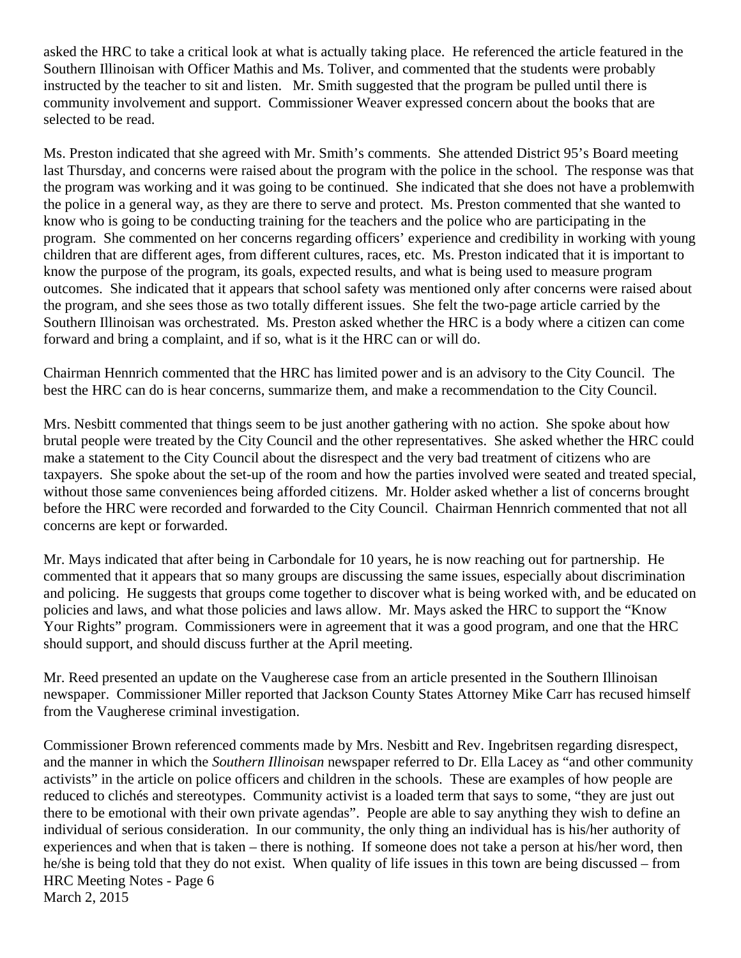asked the HRC to take a critical look at what is actually taking place. He referenced the article featured in the Southern Illinoisan with Officer Mathis and Ms. Toliver, and commented that the students were probably instructed by the teacher to sit and listen. Mr. Smith suggested that the program be pulled until there is community involvement and support. Commissioner Weaver expressed concern about the books that are selected to be read.

Ms. Preston indicated that she agreed with Mr. Smith's comments. She attended District 95's Board meeting last Thursday, and concerns were raised about the program with the police in the school. The response was that the program was working and it was going to be continued. She indicated that she does not have a problemwith the police in a general way, as they are there to serve and protect. Ms. Preston commented that she wanted to know who is going to be conducting training for the teachers and the police who are participating in the program. She commented on her concerns regarding officers' experience and credibility in working with young children that are different ages, from different cultures, races, etc. Ms. Preston indicated that it is important to know the purpose of the program, its goals, expected results, and what is being used to measure program outcomes. She indicated that it appears that school safety was mentioned only after concerns were raised about the program, and she sees those as two totally different issues. She felt the two-page article carried by the Southern Illinoisan was orchestrated. Ms. Preston asked whether the HRC is a body where a citizen can come forward and bring a complaint, and if so, what is it the HRC can or will do.

Chairman Hennrich commented that the HRC has limited power and is an advisory to the City Council. The best the HRC can do is hear concerns, summarize them, and make a recommendation to the City Council.

Mrs. Nesbitt commented that things seem to be just another gathering with no action. She spoke about how brutal people were treated by the City Council and the other representatives. She asked whether the HRC could make a statement to the City Council about the disrespect and the very bad treatment of citizens who are taxpayers. She spoke about the set-up of the room and how the parties involved were seated and treated special, without those same conveniences being afforded citizens. Mr. Holder asked whether a list of concerns brought before the HRC were recorded and forwarded to the City Council. Chairman Hennrich commented that not all concerns are kept or forwarded.

Mr. Mays indicated that after being in Carbondale for 10 years, he is now reaching out for partnership. He commented that it appears that so many groups are discussing the same issues, especially about discrimination and policing. He suggests that groups come together to discover what is being worked with, and be educated on policies and laws, and what those policies and laws allow. Mr. Mays asked the HRC to support the "Know Your Rights" program. Commissioners were in agreement that it was a good program, and one that the HRC should support, and should discuss further at the April meeting.

Mr. Reed presented an update on the Vaugherese case from an article presented in the Southern Illinoisan newspaper. Commissioner Miller reported that Jackson County States Attorney Mike Carr has recused himself from the Vaugherese criminal investigation.

Commissioner Brown referenced comments made by Mrs. Nesbitt and Rev. Ingebritsen regarding disrespect, and the manner in which the *Southern Illinoisan* newspaper referred to Dr. Ella Lacey as "and other community activists" in the article on police officers and children in the schools. These are examples of how people are reduced to clichés and stereotypes. Community activist is a loaded term that says to some, "they are just out there to be emotional with their own private agendas". People are able to say anything they wish to define an individual of serious consideration. In our community, the only thing an individual has is his/her authority of experiences and when that is taken – there is nothing. If someone does not take a person at his/her word, then he/she is being told that they do not exist. When quality of life issues in this town are being discussed – from HRC Meeting Notes - Page 6 March 2, 2015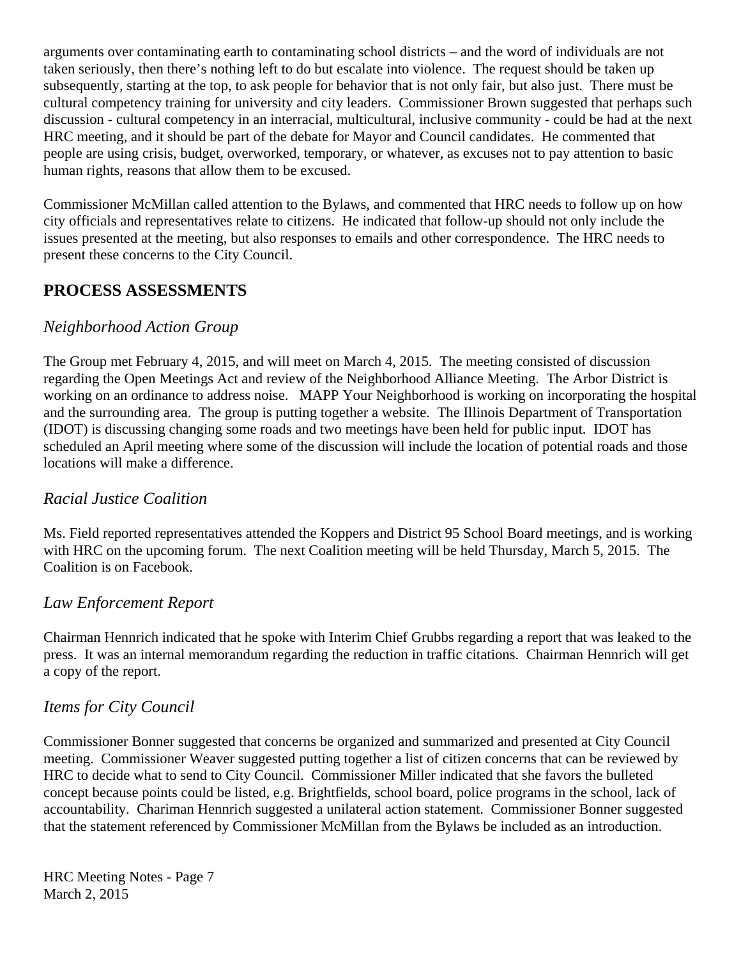arguments over contaminating earth to contaminating school districts – and the word of individuals are not taken seriously, then there's nothing left to do but escalate into violence. The request should be taken up subsequently, starting at the top, to ask people for behavior that is not only fair, but also just. There must be cultural competency training for university and city leaders. Commissioner Brown suggested that perhaps such discussion - cultural competency in an interracial, multicultural, inclusive community - could be had at the next HRC meeting, and it should be part of the debate for Mayor and Council candidates. He commented that people are using crisis, budget, overworked, temporary, or whatever, as excuses not to pay attention to basic human rights, reasons that allow them to be excused.

Commissioner McMillan called attention to the Bylaws, and commented that HRC needs to follow up on how city officials and representatives relate to citizens. He indicated that follow-up should not only include the issues presented at the meeting, but also responses to emails and other correspondence. The HRC needs to present these concerns to the City Council.

# **PROCESS ASSESSMENTS**

# *Neighborhood Action Group*

The Group met February 4, 2015, and will meet on March 4, 2015. The meeting consisted of discussion regarding the Open Meetings Act and review of the Neighborhood Alliance Meeting. The Arbor District is working on an ordinance to address noise. MAPP Your Neighborhood is working on incorporating the hospital and the surrounding area. The group is putting together a website. The Illinois Department of Transportation (IDOT) is discussing changing some roads and two meetings have been held for public input. IDOT has scheduled an April meeting where some of the discussion will include the location of potential roads and those locations will make a difference.

# *Racial Justice Coalition*

Ms. Field reported representatives attended the Koppers and District 95 School Board meetings, and is working with HRC on the upcoming forum. The next Coalition meeting will be held Thursday, March 5, 2015. The Coalition is on Facebook.

# *Law Enforcement Report*

Chairman Hennrich indicated that he spoke with Interim Chief Grubbs regarding a report that was leaked to the press. It was an internal memorandum regarding the reduction in traffic citations. Chairman Hennrich will get a copy of the report.

# *Items for City Council*

Commissioner Bonner suggested that concerns be organized and summarized and presented at City Council meeting. Commissioner Weaver suggested putting together a list of citizen concerns that can be reviewed by HRC to decide what to send to City Council. Commissioner Miller indicated that she favors the bulleted concept because points could be listed, e.g. Brightfields, school board, police programs in the school, lack of accountability. Chariman Hennrich suggested a unilateral action statement. Commissioner Bonner suggested that the statement referenced by Commissioner McMillan from the Bylaws be included as an introduction.

HRC Meeting Notes - Page 7 March 2, 2015